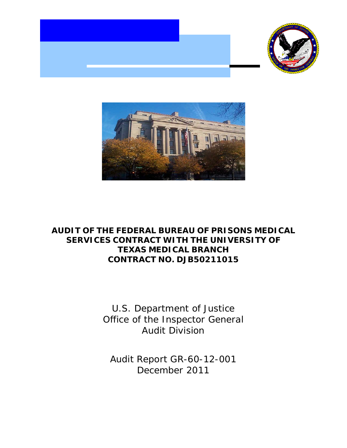



# **AUDIT OF THE FEDERAL BUREAU OF PRISONS MEDICAL SERVICES CONTRACT WITH THE UNIVERSITY OF TEXAS MEDICAL BRANCH CONTRACT NO. DJB50211015**

U.S. Department of Justice Office of the Inspector General Audit Division

Audit Report GR-60-12-001 December 2011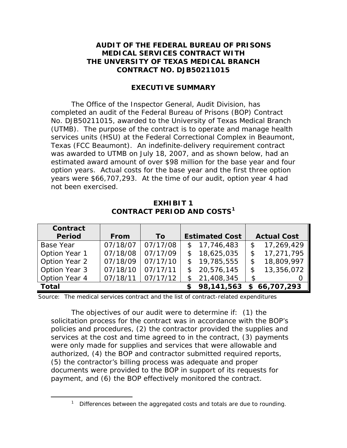#### **AUDIT OF THE FEDERAL BUREAU OF PRISONS MEDICAL SERVICES CONTRACT WITH THE UNVERSITY OF TEXAS MEDICAL BRANCH CONTRACT NO. DJB50211015**

#### **EXECUTIVE SUMMARY**

The Office of the Inspector General, Audit Division, has completed an audit of the Federal Bureau of Prisons (BOP) Contract No. DJB50211015, awarded to the University of Texas Medical Branch (UTMB). The purpose of the contract is to operate and manage health services units (HSU) at the Federal Correctional Complex in Beaumont, Texas (FCC Beaumont). An indefinite-delivery requirement contract was awarded to UTMB on July 18, 2007, and as shown below, had an estimated award amount of over \$98 million for the base year and four option years. Actual costs for the base year and the first three option years were \$66,707,293. At the time of our audit, option year 4 had not been exercised.

| Contract      |             |           |              |                       |                    |              |
|---------------|-------------|-----------|--------------|-----------------------|--------------------|--------------|
| <b>Period</b> | <b>From</b> | <b>To</b> |              | <b>Estimated Cost</b> | <b>Actual Cost</b> |              |
| Base Year     | 07/18/07    | 07/17/08  |              | \$17,746,483          | \$                 | 17,269,429   |
| Option Year 1 | 07/18/08    | 07/17/09  | \$           | 18,625,035            | \$                 | 17,271,795   |
| Option Year 2 | 07/18/09    | 07/17/10  |              | \$19,785,555          |                    | 18,809,997   |
| Option Year 3 | 07/18/10    | 07/17/11  | $\mathbb{S}$ | 20,576,145            | \$                 | 13,356,072   |
| Option Year 4 | 07/18/11    | 07/17/12  | \$           | 21,408,345            | \$                 |              |
| <b>Total</b>  |             |           |              | \$98,141,563          |                    | \$66,707,293 |

**EXHIBIT 1 CONTRACT PERIOD AND COSTS[1](#page-1-0)**

Source: The medical services contract and the list of contract-related expenditures

The objectives of our audit were to determine if: (1) the solicitation process for the contract was in accordance with the BOP's policies and procedures, (2) the contractor provided the supplies and services at the cost and time agreed to in the contract, (3) payments were only made for supplies and services that were allowable and authorized, (4) the BOP and contractor submitted required reports, (5) the contractor's billing process was adequate and proper documents were provided to the BOP in support of its requests for payment, and (6) the BOP effectively monitored the contract.

<span id="page-1-0"></span> $\overline{\phantom{a}}$  $1$  Differences between the aggregated costs and totals are due to rounding.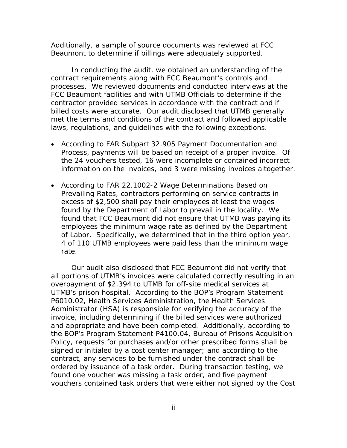Additionally, a sample of source documents was reviewed at FCC Beaumont to determine if billings were adequately supported.

In conducting the audit, we obtained an understanding of the contract requirements along with FCC Beaumont's controls and processes. We reviewed documents and conducted interviews at the FCC Beaumont facilities and with UTMB Officials to determine if the contractor provided services in accordance with the contract and if billed costs were accurate. Our audit disclosed that UTMB generally met the terms and conditions of the contract and followed applicable laws, regulations, and guidelines with the following exceptions.

- According to FAR Subpart 32.905 *Payment Documentation and Process*, payments will be based on receipt of a proper invoice. Of the 24 vouchers tested, 16 were incomplete or contained incorrect information on the invoices, and 3 were missing invoices altogether.
- According to FAR 22.1002-2 *Wage Determinations Based on Prevailing Rates*, contractors performing on service contracts in excess of \$2,500 shall pay their employees at least the wages found by the Department of Labor to prevail in the locality. We found that FCC Beaumont did not ensure that UTMB was paying its employees the minimum wage rate as defined by the Department of Labor. Specifically, we determined that in the third option year, 4 of 110 UTMB employees were paid less than the minimum wage rate.

Our audit also disclosed that FCC Beaumont did not verify that all portions of UTMB's invoices were calculated correctly resulting in an overpayment of \$2,394 to UTMB for off-site medical services at UTMB's prison hospital. According to the BOP's Program Statement P6010.02, *Health Services Administration, the Health Services Administrator (HSA) is responsible for verifying the accuracy of the invoice, including determining if the billed services were authorized and appropriate and have been completed.* Additionally, according to the BOP's Program Statement P4100.04, *Bureau of Prisons Acquisition Policy*, requests for purchases and/or other prescribed forms shall be signed or initialed by a cost center manager; and according to the contract, any services to be furnished under the contract shall be ordered by issuance of a task order. During transaction testing, we found one voucher was missing a task order, and five payment vouchers contained task orders that were either not signed by the Cost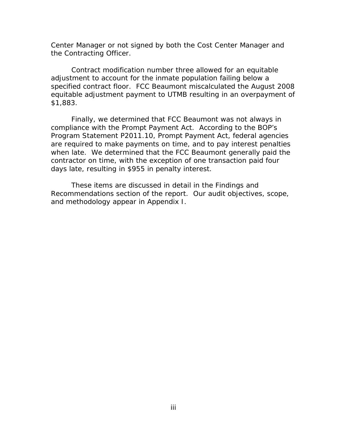Center Manager or not signed by both the Cost Center Manager and the Contracting Officer.

Contract modification number three allowed for an equitable adjustment to account for the inmate population failing below a specified contract floor. FCC Beaumont miscalculated the August 2008 equitable adjustment payment to UTMB resulting in an overpayment of \$1,883.

Finally, we determined that FCC Beaumont was not always in compliance with the Prompt Payment Act. According to the BOP's Program Statement P2011.10, *Prompt Payment Act*, federal agencies are required to make payments on time, and to pay interest penalties when late. We determined that the FCC Beaumont generally paid the contractor on time, with the exception of one transaction paid four days late, resulting in \$955 in penalty interest.

These items are discussed in detail in the Findings and Recommendations section of the report. Our audit objectives, scope, and methodology appear in Appendix I.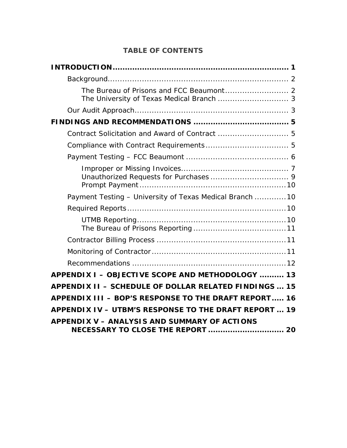## **TABLE OF CONTENTS**

| The University of Texas Medical Branch  3                                         |
|-----------------------------------------------------------------------------------|
|                                                                                   |
|                                                                                   |
| Contract Solicitation and Award of Contract  5                                    |
|                                                                                   |
|                                                                                   |
|                                                                                   |
| Payment Testing - University of Texas Medical Branch  10                          |
|                                                                                   |
|                                                                                   |
|                                                                                   |
|                                                                                   |
|                                                                                   |
| APPENDIX I - OBJECTIVE SCOPE AND METHODOLOGY  13                                  |
| APPENDIX II - SCHEDULE OF DOLLAR RELATED FINDINGS  15                             |
| APPENDIX III - BOP'S RESPONSE TO THE DRAFT REPORT 16                              |
| APPENDIX IV - UTBM'S RESPONSE TO THE DRAFT REPORT  19                             |
| APPENDIX V - ANALYSIS AND SUMMARY OF ACTIONS<br>NECESSARY TO CLOSE THE REPORT  20 |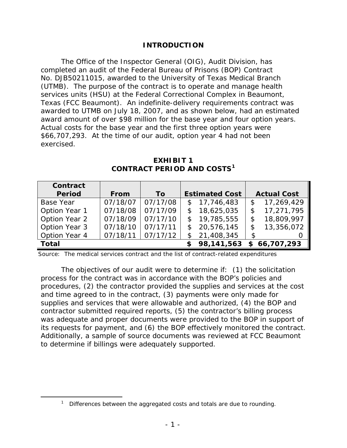### **INTRODUCTION**

<span id="page-5-0"></span>The Office of the Inspector General (OIG), Audit Division, has completed an audit of the Federal Bureau of Prisons (BOP) Contract No. DJB50211015, awarded to the University of Texas Medical Branch (UTMB). The purpose of the contract is to operate and manage health services units (HSU) at the Federal Correctional Complex in Beaumont, Texas (FCC Beaumont). An indefinite-delivery requirements contract was awarded to UTMB on July 18, 2007, and as shown below, had an estimated award amount of over \$98 million for the base year and four option years. Actual costs for the base year and the first three option years were \$66,707,293. At the time of our audit, option year 4 had not been exercised.

| Contract         |             |           |               |                       |                    |              |
|------------------|-------------|-----------|---------------|-----------------------|--------------------|--------------|
| <b>Period</b>    | <b>From</b> | <b>To</b> |               | <b>Estimated Cost</b> | <b>Actual Cost</b> |              |
| <b>Base Year</b> | 07/18/07    | 07/17/08  |               | \$17,746,483          | \$                 | 17,269,429   |
| Option Year 1    | 07/18/08    | 07/17/09  |               | \$18,625,035          | S                  | 17,271,795   |
| Option Year 2    | 07/18/09    | 07/17/10  | $\mathcal{S}$ | 19,785,555            |                    | 18,809,997   |
| Option Year 3    | 07/18/10    | 07/17/11  |               | \$20,576,145          | \$                 | 13,356,072   |
| Option Year 4    | 07/18/11    | 07/17/12  | \$            | 21,408,345            | \$                 |              |
| <b>Total</b>     |             |           |               | 98,141,563            |                    | \$66,707,293 |

**EXHIBIT 1 CONTRACT PERIOD AND COSTS[1](#page-5-1)**

Source: The medical services contract and the list of contract-related expenditures

The objectives of our audit were to determine if: (1) the solicitation process for the contract was in accordance with the BOP's policies and procedures, (2) the contractor provided the supplies and services at the cost and time agreed to in the contract, (3) payments were only made for supplies and services that were allowable and authorized, (4) the BOP and contractor submitted required reports, (5) the contractor's billing process was adequate and proper documents were provided to the BOP in support of its requests for payment, and (6) the BOP effectively monitored the contract. Additionally, a sample of source documents was reviewed at FCC Beaumont to determine if billings were adequately supported.

<span id="page-5-1"></span> $\overline{\phantom{a}}$ Differences between the aggregated costs and totals are due to rounding.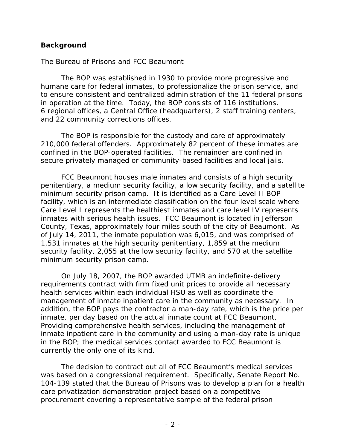### <span id="page-6-0"></span>**Background**

#### <span id="page-6-1"></span>*The Bureau of Prisons and FCC Beaumont*

The BOP was established in 1930 to provide more progressive and humane care for federal inmates, to professionalize the prison service, and to ensure consistent and centralized administration of the 11 federal prisons in operation at the time. Today, the BOP consists of 116 institutions, 6 regional offices, a Central Office (headquarters), 2 staff training centers, and 22 community corrections offices.

The BOP is responsible for the custody and care of approximately 210,000 federal offenders. Approximately 82 percent of these inmates are confined in the BOP-operated facilities. The remainder are confined in secure privately managed or community-based facilities and local jails.

FCC Beaumont houses male inmates and consists of a high security penitentiary, a medium security facility, a low security facility, and a satellite minimum security prison camp. It is identified as a Care Level II BOP facility, which is an intermediate classification on the four level scale where Care Level I represents the healthiest inmates and care level IV represents inmates with serious health issues. FCC Beaumont is located in Jefferson County, Texas, approximately four miles south of the city of Beaumont. As of July 14, 2011, the inmate population was 6,015, and was comprised of 1,531 inmates at the high security penitentiary, 1,859 at the medium security facility, 2,055 at the low security facility, and 570 at the satellite minimum security prison camp.

On July 18, 2007, the BOP awarded UTMB an indefinite-delivery requirements contract with firm fixed unit prices to provide all necessary health services within each individual HSU as well as coordinate the management of inmate inpatient care in the community as necessary. In addition, the BOP pays the contractor a man-day rate, which is the price per inmate, per day based on the actual inmate count at FCC Beaumont. Providing comprehensive health services, including the management of inmate inpatient care in the community and using a man-day rate is unique in the BOP; the medical services contact awarded to FCC Beaumont is currently the only one of its kind.

The decision to contract out all of FCC Beaumont's medical services was based on a congressional requirement. Specifically, Senate Report No. 104-139 stated that the Bureau of Prisons was to develop a plan for a health care privatization demonstration project based on a competitive procurement covering a representative sample of the federal prison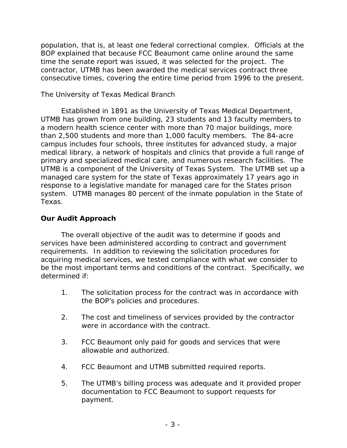population, that is, at least one federal correctional complex. Officials at the BOP explained that because FCC Beaumont came online around the same time the senate report was issued, it was selected for the project. The contractor, UTMB has been awarded the medical services contract three consecutive times, covering the entire time period from 1996 to the present.

### <span id="page-7-0"></span>*The University of Texas Medical Branch*

Established in 1891 as the University of Texas Medical Department, UTMB has grown from one building, 23 students and 13 faculty members to a modern health science center with more than 70 major buildings, more than 2,500 students and more than 1,000 faculty members. The 84-acre campus includes four schools, three institutes for advanced study, a major medical library, a network of hospitals and clinics that provide a full range of primary and specialized medical care, and numerous research facilities. The UTMB is a component of the University of Texas System. The UTMB set up a managed care system for the state of Texas approximately 17 years ago in response to a legislative mandate for managed care for the States prison system. UTMB manages 80 percent of the inmate population in the State of Texas.

### <span id="page-7-1"></span>**Our Audit Approach**

The overall objective of the audit was to determine if goods and services have been administered according to contract and government requirements. In addition to reviewing the solicitation procedures for acquiring medical services, we tested compliance with what we consider to be the most important terms and conditions of the contract. Specifically, we determined if:

- 1. The solicitation process for the contract was in accordance with the BOP's policies and procedures.
- 2. The cost and timeliness of services provided by the contractor were in accordance with the contract.
- 3. FCC Beaumont only paid for goods and services that were allowable and authorized.
- 4. FCC Beaumont and UTMB submitted required reports.
- 5. The UTMB's billing process was adequate and it provided proper documentation to FCC Beaumont to support requests for payment.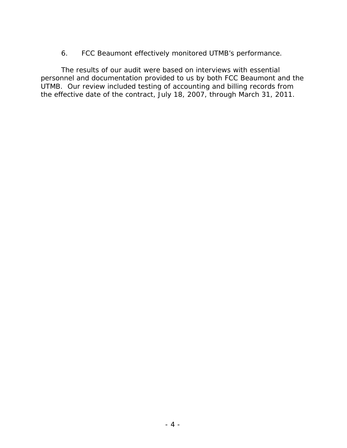6. FCC Beaumont effectively monitored UTMB's performance.

The results of our audit were based on interviews with essential personnel and documentation provided to us by both FCC Beaumont and the UTMB. Our review included testing of accounting and billing records from the effective date of the contract, July 18, 2007, through March 31, 2011.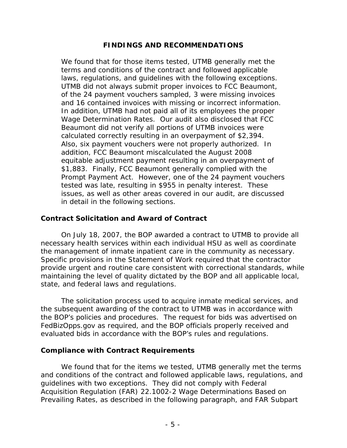### **FINDINGS AND RECOMMENDATIONS**

<span id="page-9-0"></span>We found that for those items tested, UTMB generally met the terms and conditions of the contract and followed applicable laws, regulations, and guidelines with the following exceptions. UTMB did not always submit proper invoices to FCC Beaumont, of the 24 payment vouchers sampled, 3 were missing invoices and 16 contained invoices with missing or incorrect information. In addition, UTMB had not paid all of its employees the proper Wage Determination Rates. Our audit also disclosed that FCC Beaumont did not verify all portions of UTMB invoices were calculated correctly resulting in an overpayment of \$2,394. Also, six payment vouchers were not properly authorized. In addition, FCC Beaumont miscalculated the August 2008 equitable adjustment payment resulting in an overpayment of \$1,883. Finally, FCC Beaumont generally complied with the Prompt Payment Act. However, one of the 24 payment vouchers tested was late, resulting in \$955 in penalty interest. These issues, as well as other areas covered in our audit, are discussed in detail in the following sections.

### <span id="page-9-1"></span>**Contract Solicitation and Award of Contract**

On July 18, 2007, the BOP awarded a contract to UTMB to provide all necessary health services within each individual HSU as well as coordinate the management of inmate inpatient care in the community as necessary. Specific provisions in the Statement of Work required that the contractor provide urgent and routine care consistent with correctional standards, while maintaining the level of quality dictated by the BOP and all applicable local, state, and federal laws and regulations.

The solicitation process used to acquire inmate medical services, and the subsequent awarding of the contract to UTMB was in accordance with the BOP's policies and procedures. The request for bids was advertised on FedBizOpps.gov as required, and the BOP officials properly received and evaluated bids in accordance with the BOP's rules and regulations.

### <span id="page-9-2"></span>**Compliance with Contract Requirements**

We found that for the items we tested, UTMB generally met the terms and conditions of the contract and followed applicable laws, regulations, and guidelines with two exceptions. They did not comply with Federal Acquisition Regulation (FAR) 22.1002-2 *Wage Determinations Based on Prevailing Rates*, as described in the following paragraph, and FAR Subpart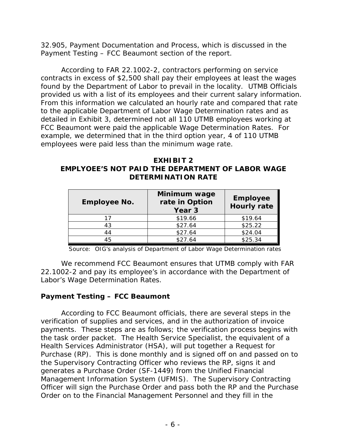32.905, *Payment Documentation and Process*, which is discussed in the Payment Testing – FCC Beaumont section of the report.

According to FAR 22.1002-2, contractors performing on service contracts in excess of \$2,500 shall pay their employees at least the wages found by the Department of Labor to prevail in the locality. UTMB Officials provided us with a list of its employees and their current salary information. From this information we calculated an hourly rate and compared that rate to the applicable Department of Labor Wage Determination rates and as detailed in Exhibit 3, determined not all 110 UTMB employees working at FCC Beaumont were paid the applicable Wage Determination Rates. For example, we determined that in the third option year, 4 of 110 UTMB employees were paid less than the minimum wage rate.

**EXHIBIT 2 EMPLYOEE'S NOT PAID THE DEPARTMENT OF LABOR WAGE DETERMINATION RATE**

| <b>Employee No.</b> | Minimum wage<br>rate in Option<br>Year <sub>3</sub> | <b>Employee</b><br><b>Hourly rate</b> |
|---------------------|-----------------------------------------------------|---------------------------------------|
| 17                  | \$19.66                                             | \$19.64                               |
| 43                  | \$27.64                                             | \$25.22                               |
| 44                  | \$27.64                                             | \$24.04                               |
| 45                  | \$27.64                                             | \$25.34                               |

Source: OIG's analysis of Department of Labor Wage Determination rates

We recommend FCC Beaumont ensures that UTMB comply with FAR 22.1002-2 and pay its employee's in accordance with the Department of Labor's Wage Determination Rates.

### <span id="page-10-0"></span>**Payment Testing – FCC Beaumont**

According to FCC Beaumont officials, there are several steps in the verification of supplies and services, and in the authorization of invoice payments. These steps are as follows; the verification process begins with the task order packet. The Health Service Specialist, the equivalent of a Health Services Administrator (HSA), will put together a Request for Purchase (RP). This is done monthly and is signed off on and passed on to the Supervisory Contracting Officer who reviews the RP, signs it and generates a Purchase Order (SF-1449) from the Unified Financial Management Information System (UFMIS). The Supervisory Contracting Officer will sign the Purchase Order and pass both the RP and the Purchase Order on to the Financial Management Personnel and they fill in the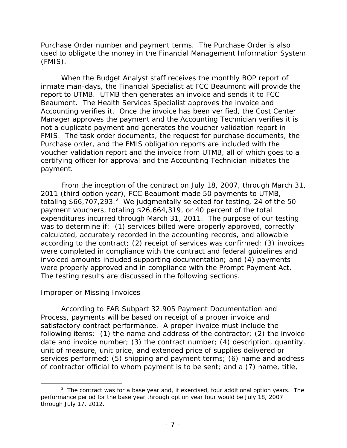Purchase Order number and payment terms. The Purchase Order is also used to obligate the money in the Financial Management Information System (FMIS).

When the Budget Analyst staff receives the monthly BOP report of inmate man-days, the Financial Specialist at FCC Beaumont will provide the report to UTMB. UTMB then generates an invoice and sends it to FCC Beaumont. The Health Services Specialist approves the invoice and Accounting verifies it. Once the invoice has been verified, the Cost Center Manager approves the payment and the Accounting Technician verifies it is not a duplicate payment and generates the voucher validation report in FMIS. The task order documents, the request for purchase documents, the Purchase order, and the FMIS obligation reports are included with the voucher validation report and the invoice from UTMB, all of which goes to a certifying officer for approval and the Accounting Technician initiates the payment.

From the inception of the contract on July 18, 2007, through March 31, 2011 (third option year), FCC Beaumont made 50 payments to UTMB, totaling \$66,707,[2](#page-11-1)93.<sup>2</sup> We judgmentally selected for testing, 24 of the 50 payment vouchers, totaling \$26,664,319, or 40 percent of the total expenditures incurred through March 31, 2011. The purpose of our testing was to determine if: (1) services billed were properly approved, correctly calculated, accurately recorded in the accounting records, and allowable according to the contract; (2) receipt of services was confirmed; (3) invoices were completed in compliance with the contract and federal guidelines and invoiced amounts included supporting documentation; and (4) payments were properly approved and in compliance with the Prompt Payment Act. The testing results are discussed in the following sections.

### <span id="page-11-0"></span>*Improper or Missing Invoices*

According to FAR Subpart 32.905 *Payment Documentation and Process*, payments will be based on receipt of a proper invoice and satisfactory contract performance. A proper invoice must include the following items: (1) the name and address of the contractor; (2) the invoice date and invoice number; (3) the contract number; (4) description, quantity, unit of measure, unit price, and extended price of supplies delivered or services performed; (5) shipping and payment terms; (6) name and address of contractor official to whom payment is to be sent; and a (7) name, title,

<span id="page-11-1"></span> $\overline{\phantom{a}}$  2  $2$  The contract was for a base year and, if exercised, four additional option years. The performance period for the base year through option year four would be July 18, 2007 through July 17, 2012.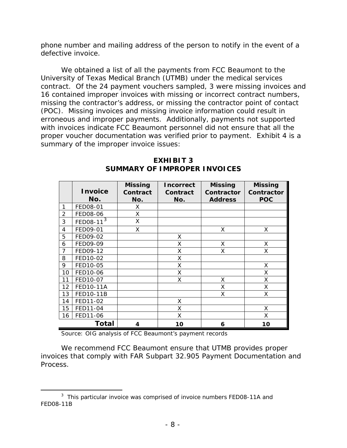phone number and mailing address of the person to notify in the event of a defective invoice.

We obtained a list of all the payments from FCC Beaumont to the University of Texas Medical Branch (UTMB) under the medical services contract. Of the 24 payment vouchers sampled, 3 were missing invoices and 16 contained improper invoices with missing or incorrect contract numbers, missing the contractor's address, or missing the contractor point of contact (POC). Missing invoices and missing invoice information could result in erroneous and improper payments. Additionally, payments not supported with invoices indicate FCC Beaumont personnel did not ensure that all the proper voucher documentation was verified prior to payment. Exhibit 4 is a summary of the improper invoice issues:

|                | <b>Invoice</b><br>No. | <b>Missing</b><br>Contract<br>No. | Incorrect<br>Contract<br>No. | <b>Missing</b><br>Contractor<br><b>Address</b> | <b>Missing</b><br><b>Contractor</b><br><b>POC</b> |
|----------------|-----------------------|-----------------------------------|------------------------------|------------------------------------------------|---------------------------------------------------|
| $\mathbf{1}$   | FED08-01              | X.                                |                              |                                                |                                                   |
| $\overline{2}$ | FED08-06              | Χ                                 |                              |                                                |                                                   |
| 3              | $EED08-11^3$          | X                                 |                              |                                                |                                                   |
| 4              | FED09-01              | X                                 |                              | Χ                                              | X                                                 |
| 5              | FED09-02              |                                   | X                            |                                                |                                                   |
| 6              | FED09-09              |                                   | X                            | Χ                                              | Χ                                                 |
| 7              | FED09-12              |                                   | Χ                            | Χ                                              | Χ                                                 |
| 8              | FED10-02              |                                   | X                            |                                                |                                                   |
| 9              | FED10-05              |                                   | X                            |                                                | X                                                 |
| 10             | FED10-06              |                                   | X                            |                                                | Χ                                                 |
| 11             | FED10-07              |                                   | X                            | Χ                                              | Χ                                                 |
| 12             | <b>FED10-11A</b>      |                                   |                              | Χ                                              | Χ                                                 |
| 13             | FED10-11B             |                                   |                              | X                                              | X                                                 |
| 14             | FED11-02              |                                   | X                            |                                                |                                                   |
| 15             | FED11-04              |                                   | X                            |                                                | X                                                 |
| 16             | FED11-06              |                                   | X                            |                                                | X                                                 |
|                | <b>Total</b>          | 4                                 | 10                           | 6                                              | 10                                                |

#### **EXHIBIT 3 SUMMARY OF IMPROPER INVOICES**

Source: OIG analysis of FCC Beaumont's payment records

We recommend FCC Beaumont ensure that UTMB provides proper invoices that comply with FAR Subpart 32.905 *Payment Documentation and Process*.

<span id="page-12-0"></span> $\overline{\phantom{a}}$  3  $3$  This particular invoice was comprised of invoice numbers FED08-11A and FED08-11B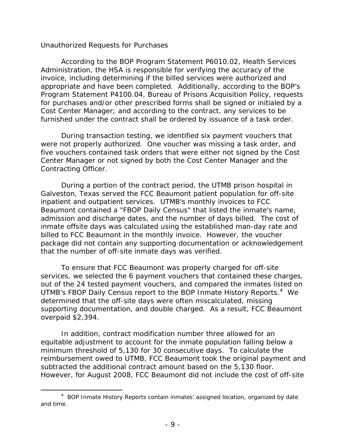#### <span id="page-13-0"></span>*Unauthorized Requests for Purchases*

 According to the BOP Program Statement P6010.02, *Health Services Administration*, the HSA is responsible for verifying the accuracy of the invoice, including determining if the billed services were authorized and appropriate and have been completed. Additionally, according to the BOP's Program Statement P4100.04, *Bureau of Prisons Acquisition Policy*, requests for purchases and/or other prescribed forms shall be signed or initialed by a Cost Center Manager; and according to the contract, any services to be furnished under the contract shall be ordered by issuance of a task order.

During transaction testing, we identified six payment vouchers that were not properly authorized. One voucher was missing a task order, and five vouchers contained task orders that were either not signed by the Cost Center Manager or not signed by both the Cost Center Manager and the Contracting Officer.

During a portion of the contract period, the UTMB prison hospital in Galveston, Texas served the FCC Beaumont patient population for off-site inpatient and outpatient services. UTMB's monthly invoices to FCC Beaumont contained a "FBOP Daily Census" that listed the inmate's name, admission and discharge dates, and the number of days billed. The cost of inmate offsite days was calculated using the established man-day rate and billed to FCC Beaumont in the monthly invoice. However, the voucher package did not contain any supporting documentation or acknowledgement that the number of off-site inmate days was verified.

To ensure that FCC Beaumont was properly charged for off-site services, we selected the 6 payment vouchers that contained these charges, out of the 24 tested payment vouchers, and compared the inmates listed on UTMB's FBOP Daily Census report to the BOP Inmate History Reports.<sup>[4](#page-13-1)</sup> We determined that the off-site days were often miscalculated, missing supporting documentation, and double charged. As a result, FCC Beaumont overpaid \$2,394.

In addition, contract modification number three allowed for an equitable adjustment to account for the inmate population falling below a minimum threshold of 5,130 for 30 consecutive days. To calculate the reimbursement owed to UTMB, FCC Beaumont took the original payment and subtracted the additional contract amount based on the 5,130 floor. However, for August 2008, FCC Beaumont did not include the cost of off-site

<span id="page-13-1"></span> $\overline{4}$ <sup>4</sup> BOP Inmate History Reports contain inmates' assigned location, organized by date and time.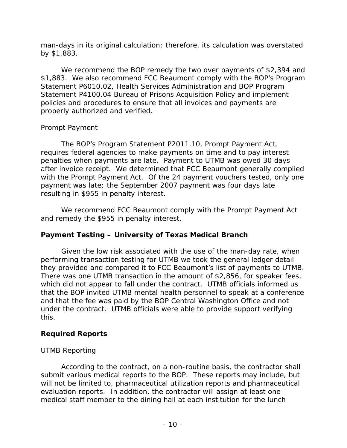man-days in its original calculation; therefore, its calculation was overstated by \$1,883.

We recommend the BOP remedy the two over payments of \$2,394 and \$1,883. We also recommend FCC Beaumont comply with the BOP's Program Statement P6010.02, *Health Services Administration* and BOP Program Statement P4100.04 *Bureau of Prisons Acquisition Policy* and implement policies and procedures to ensure that all invoices and payments are properly authorized and verified.

### <span id="page-14-0"></span>*Prompt Payment*

The BOP's Program Statement P2011.10, *Prompt Payment Act*, requires federal agencies to make payments on time and to pay interest penalties when payments are late. Payment to UTMB was owed 30 days after invoice receipt. We determined that FCC Beaumont generally complied with the Prompt Payment Act. Of the 24 payment vouchers tested, only one payment was late; the September 2007 payment was four days late resulting in \$955 in penalty interest.

We recommend FCC Beaumont comply with the Prompt Payment Act and remedy the \$955 in penalty interest.

### <span id="page-14-1"></span>**Payment Testing – University of Texas Medical Branch**

Given the low risk associated with the use of the man-day rate, when performing transaction testing for UTMB we took the general ledger detail they provided and compared it to FCC Beaumont's list of payments to UTMB. There was one UTMB transaction in the amount of \$2,856, for speaker fees, which did not appear to fall under the contract. UTMB officials informed us that the BOP invited UTMB mental health personnel to speak at a conference and that the fee was paid by the BOP Central Washington Office and not under the contract. UTMB officials were able to provide support verifying this.

### <span id="page-14-2"></span>**Required Reports**

### <span id="page-14-3"></span>*UTMB Reporting*

According to the contract, on a non-routine basis, the contractor shall submit various medical reports to the BOP. These reports may include, but will not be limited to, pharmaceutical utilization reports and pharmaceutical evaluation reports. In addition, the contractor will assign at least one medical staff member to the dining hall at each institution for the lunch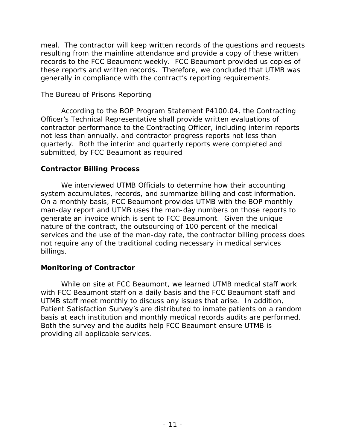meal. The contractor will keep written records of the questions and requests resulting from the mainline attendance and provide a copy of these written records to the FCC Beaumont weekly. FCC Beaumont provided us copies of these reports and written records. Therefore, we concluded that UTMB was generally in compliance with the contract's reporting requirements.

### <span id="page-15-0"></span>*The Bureau of Prisons Reporting*

According to the BOP Program Statement P4100.04, the Contracting Officer's Technical Representative shall provide written evaluations of contractor performance to the Contracting Officer, including interim reports not less than annually, and contractor progress reports not less than quarterly. Both the interim and quarterly reports were completed and submitted, by FCC Beaumont as required

### <span id="page-15-1"></span>**Contractor Billing Process**

We interviewed UTMB Officials to determine how their accounting system accumulates, records, and summarize billing and cost information. On a monthly basis, FCC Beaumont provides UTMB with the BOP monthly man-day report and UTMB uses the man-day numbers on those reports to generate an invoice which is sent to FCC Beaumont. Given the unique nature of the contract, the outsourcing of 100 percent of the medical services and the use of the man-day rate, the contractor billing process does not require any of the traditional coding necessary in medical services billings.

### <span id="page-15-2"></span>**Monitoring of Contractor**

While on site at FCC Beaumont, we learned UTMB medical staff work with FCC Beaumont staff on a daily basis and the FCC Beaumont staff and UTMB staff meet monthly to discuss any issues that arise. In addition, Patient Satisfaction Survey's are distributed to inmate patients on a random basis at each institution and monthly medical records audits are performed. Both the survey and the audits help FCC Beaumont ensure UTMB is providing all applicable services.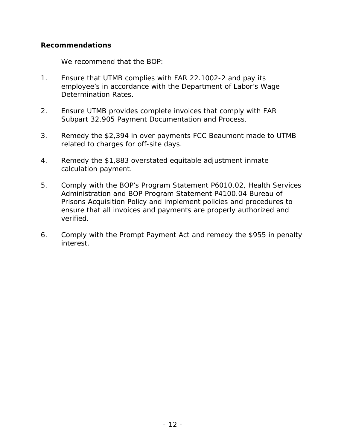### <span id="page-16-0"></span>**Recommendations**

We recommend that the BOP:

- 1. Ensure that UTMB complies with FAR 22.1002-2 and pay its employee's in accordance with the Department of Labor's Wage Determination Rates.
- 2. Ensure UTMB provides complete invoices that comply with FAR Subpart 32.905 *Payment Documentation and Process*.
- 3. Remedy the \$2,394 in over payments FCC Beaumont made to UTMB related to charges for off-site days.
- 4. Remedy the \$1,883 overstated equitable adjustment inmate calculation payment.
- 5. Comply with the BOP's Program Statement P6010.02, *Health Services Administration* and BOP Program Statement P4100.04 *Bureau of Prisons Acquisition Policy* and implement policies and procedures to ensure that all invoices and payments are properly authorized and verified.
- 6. Comply with the Prompt Payment Act and remedy the \$955 in penalty interest.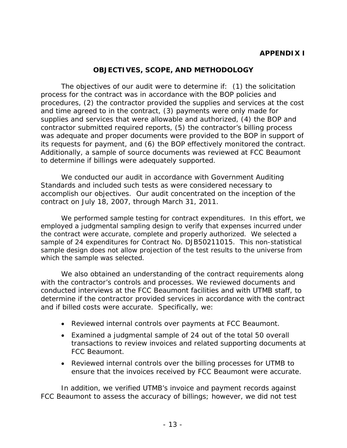### **APPENDIX I**

#### **OBJECTIVES, SCOPE, AND METHODOLOGY**

<span id="page-17-0"></span>The objectives of our audit were to determine if: (1) the solicitation process for the contract was in accordance with the BOP policies and procedures, (2) the contractor provided the supplies and services at the cost and time agreed to in the contract, (3) payments were only made for supplies and services that were allowable and authorized, (4) the BOP and contractor submitted required reports, (5) the contractor's billing process was adequate and proper documents were provided to the BOP in support of its requests for payment, and (6) the BOP effectively monitored the contract. Additionally, a sample of source documents was reviewed at FCC Beaumont to determine if billings were adequately supported.

We conducted our audit in accordance with Government Auditing Standards and included such tests as were considered necessary to accomplish our objectives. Our audit concentrated on the inception of the contract on July 18, 2007, through March 31, 2011.

We performed sample testing for contract expenditures. In this effort, we employed a judgmental sampling design to verify that expenses incurred under the contract were accurate, complete and properly authorized. We selected a sample of 24 expenditures for Contract No. DJB50211015. This non-statistical sample design does not allow projection of the test results to the universe from which the sample was selected.

We also obtained an understanding of the contract requirements along with the contractor's controls and processes. We reviewed documents and conducted interviews at the FCC Beaumont facilities and with UTMB staff, to determine if the contractor provided services in accordance with the contract and if billed costs were accurate. Specifically, we:

- Reviewed internal controls over payments at FCC Beaumont.
- Examined a judgmental sample of 24 out of the total 50 overall transactions to review invoices and related supporting documents at FCC Beaumont.
- Reviewed internal controls over the billing processes for UTMB to ensure that the invoices received by FCC Beaumont were accurate.

In addition, we verified UTMB's invoice and payment records against FCC Beaumont to assess the accuracy of billings; however, we did not test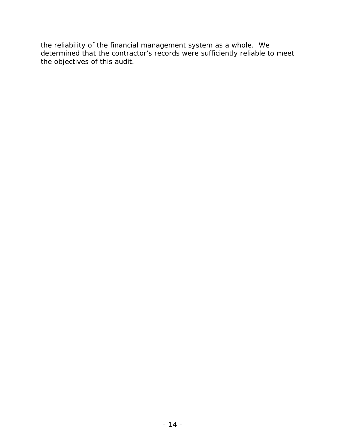the reliability of the financial management system as a whole. We determined that the contractor's records were sufficiently reliable to meet the objectives of this audit.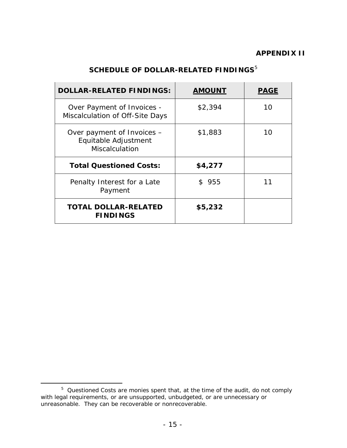# **SCHEDULE OF DOLLAR-RELATED FINDINGS**<sup>[5](#page-19-1)</sup>

<span id="page-19-0"></span>

| <b>DOLLAR-RELATED FINDINGS:</b>                                             | <b>AMOUNT</b> | <b>PAGE</b> |
|-----------------------------------------------------------------------------|---------------|-------------|
| Over Payment of Invoices -<br>Miscalculation of Off-Site Days               | \$2,394       | 10          |
| Over payment of Invoices –<br>Equitable Adjustment<br><b>Miscalculation</b> | \$1,883       | 10          |
| <b>Total Questioned Costs:</b>                                              | \$4,277       |             |
| Penalty Interest for a Late<br>Payment                                      | \$955         | 11          |
| <b>TOTAL DOLLAR-RELATED</b><br><b>FINDINGS</b>                              | \$5,232       |             |

<span id="page-19-1"></span> $\frac{1}{5}$  $5$  Questioned Costs are monies spent that, at the time of the audit, do not comply with legal requirements, or are unsupported, unbudgeted, or are unnecessary or unreasonable. They can be recoverable or nonrecoverable.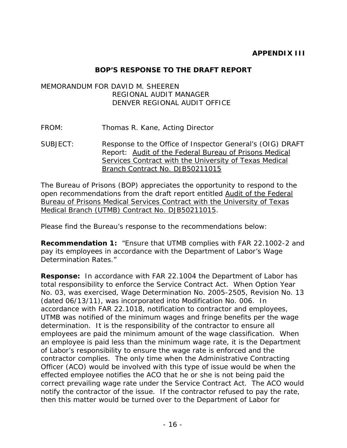### **BOP'S RESPONSE TO THE DRAFT REPORT**

### <span id="page-20-0"></span>MEMORANDUM FOR DAVID M. SHEEREN REGIONAL AUDIT MANAGER DENVER REGIONAL AUDIT OFFICE

FROM: Thomas R. Kane, Acting Director

SUBJECT: Response to the Office of Inspector General's (OIG) DRAFT Report: Audit of the Federal Bureau of Prisons Medical Services Contract with the University of Texas Medical Branch Contract No. DJB50211015

The Bureau of Prisons (BOP) appreciates the opportunity to respond to the open recommendations from the draft report entitled Audit of the Federal Bureau of Prisons Medical Services Contract with the University of Texas Medical Branch (UTMB) Contract No. DJB50211015.

Please find the Bureau's response to the recommendations below:

**Recommendation 1:** "Ensure that UTMB complies with FAR 22.1002-2 and pay its employees in accordance with the Department of Labor's Wage Determination Rates."

**Response:** In accordance with FAR 22.1004 the Department of Labor has total responsibility to enforce the Service Contract Act. When Option Year No. 03, was exercised, Wage Determination No. 2005-2505, Revision No. 13 (dated 06/13/11), was incorporated into Modification No. 006. In accordance with FAR 22.1018, notification to contractor and employees, UTMB was notified of the minimum wages and fringe benefits per the wage determination. It is the responsibility of the contractor to ensure all employees are paid the minimum amount of the wage classification. When an employee is paid less than the minimum wage rate, it is the Department of Labor's responsibility to ensure the wage rate is enforced and the contractor complies. The only time when the Administrative Contracting Officer (ACO) would be involved with this type of issue would be when the effected employee notifies the ACO that he or she is not being paid the correct prevailing wage rate under the Service Contract Act. The ACO would notify the contractor of the issue. If the contractor refused to pay the rate, then this matter would be turned over to the Department of Labor for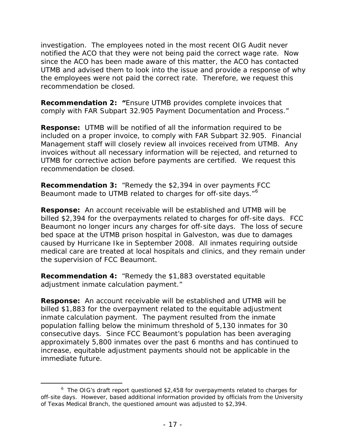investigation. The employees noted in the most recent OIG Audit never notified the ACO that they were not being paid the correct wage rate. Now since the ACO has been made aware of this matter, the ACO has contacted UTMB and advised them to look into the issue and provide a response of why the employees were not paid the correct rate. Therefore, we request this recommendation be closed.

**Recommendation 2: "**Ensure UTMB provides complete invoices that comply with FAR Subpart 32.905 Payment Documentation and Process."

**Response:** UTMB will be notified of all the information required to be included on a proper invoice, to comply with FAR Subpart 32.905. Financial Management staff will closely review all invoices received from UTMB. Any invoices without all necessary information will be rejected, and returned to UTMB for corrective action before payments are certified. We request this recommendation be closed.

**Recommendation 3:** "Remedy the \$2,394 in over payments FCC Beaumont made to UTMB related to charges for off-site days."<sup>[6](#page-21-0)</sup>

**Response:** An account receivable will be established and UTMB will be billed \$2,394 for the overpayments related to charges for off-site days. FCC Beaumont no longer incurs any charges for off-site days. The loss of secure bed space at the UTMB prison hospital in Galveston, was due to damages caused by Hurricane Ike in September 2008. All inmates requiring outside medical care are treated at local hospitals and clinics, and they remain under the supervision of FCC Beaumont.

**Recommendation 4:** "Remedy the \$1,883 overstated equitable adjustment inmate calculation payment."

**Response:** An account receivable will be established and UTMB will be billed \$1,883 for the overpayment related to the equitable adjustment inmate calculation payment. The payment resulted from the inmate population falling below the minimum threshold of 5,130 inmates for 30 consecutive days. Since FCC Beaumont's population has been averaging approximately 5,800 inmates over the past 6 months and has continued to increase, equitable adjustment payments should not be applicable in the immediate future.

<span id="page-21-0"></span> $\overline{\phantom{0}}$  $6$  The OIG's draft report questioned \$2,458 for overpayments related to charges for off-site days. However, based additional information provided by officials from the University of Texas Medical Branch, the questioned amount was adjusted to \$2,394.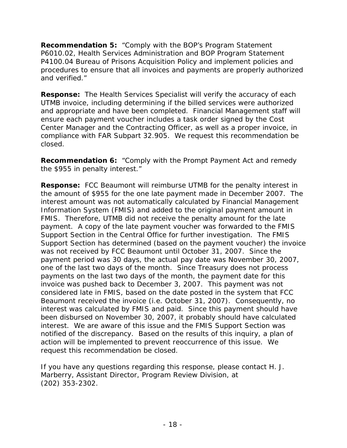**Recommendation 5:** "Comply with the BOP's Program Statement P6010.02, Health Services Administration and BOP Program Statement P4100.04 Bureau of Prisons Acquisition Policy and implement policies and procedures to ensure that all invoices and payments are properly authorized and verified."

**Response:** The Health Services Specialist will verify the accuracy of each UTMB invoice, including determining if the billed services were authorized and appropriate and have been completed. Financial Management staff will ensure each payment voucher includes a task order signed by the Cost Center Manager and the Contracting Officer, as well as a proper invoice, in compliance with FAR Subpart 32.905. We request this recommendation be closed.

**Recommendation 6:** "Comply with the Prompt Payment Act and remedy the \$955 in penalty interest."

**Response:** FCC Beaumont will reimburse UTMB for the penalty interest in the amount of \$955 for the one late payment made in December 2007. The interest amount was not automatically calculated by Financial Management Information System (FMIS) and added to the original payment amount in FMIS. Therefore, UTMB did not receive the penalty amount for the late payment. A copy of the late payment voucher was forwarded to the FMIS Support Section in the Central Office for further investigation. The FMIS Support Section has determined (based on the payment voucher) the invoice was not received by FCC Beaumont until October 31, 2007. Since the payment period was 30 days, the actual pay date was November 30, 2007, one of the last two days of the month. Since Treasury does not process payments on the last two days of the month, the payment date for this invoice was pushed back to December 3, 2007. This payment was not considered late in FMIS, based on the date posted in the system that FCC Beaumont received the invoice (i.e. October 31, 2007). Consequently, no interest was calculated by FMIS and paid. Since this payment should have been disbursed on November 30, 2007, it probably should have calculated interest. We are aware of this issue and the FMIS Support Section was notified of the discrepancy. Based on the results of this inquiry, a plan of action will be implemented to prevent reoccurrence of this issue. We request this recommendation be closed.

If you have any questions regarding this response, please contact H. J. Marberry, Assistant Director, Program Review Division, at (202) 353-2302.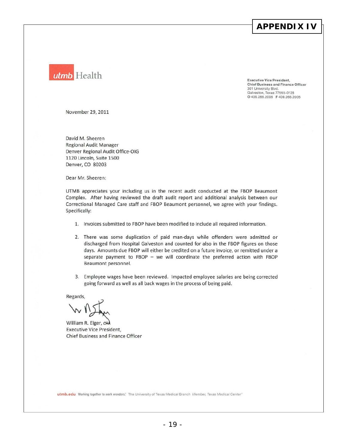### **APPENDIX IV**



Executive Vice President, Chief Business and Finance Officer 301 University Blvd. Galveston, Texas 77555-0128<br>O 409.266.2006 F 409.266.2005

November 29,2011

David M. Sheeren Regional Audit Manager Denver Regional Audit Office-OIG 1120 Lincoln, Suite 1500 Denver, CO 80203

Dear Mr. Sheeren:

UTMB appreciates your including us in the recent audit conducted at the FBOP Beaumont Complex. After having reviewed the draft audit report and additional analysis between our Correctional Managed Care staff and FBQP Beaumont personnel, we agree with your findings. Specifically:

- 1. Invoices submitted to FBOP have been modified to include all required information.
- 2. There was some duplication of paid man-days while offenders were admitted or discharged from Hospital Galveston and counted for also in the FBOP figures on those days, Amounts due FBOP will either be credited on a future invoice, or remitted under a separate payment to FBOP - we will coordinate the preferred action with FBOP Beaumont personnel.
- 3. Employee wages have been reviewed. Impacted employee salaries are being corrected going forward as well as all back wages in the process of being paid.

Regards,

William R. Elger, CRA Executive Vice President, Chief Business and Finance Officer

utmb.edu Working together to work wonders." The University of Texas Medical Branch Member, Texas Medical Center®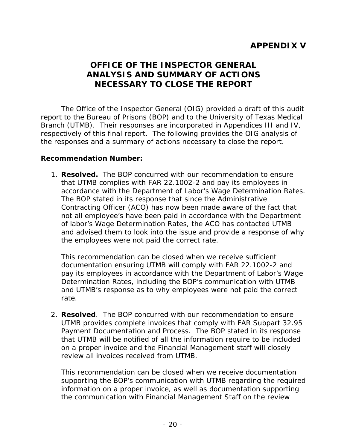# <span id="page-24-0"></span>**APPENDIX V**

## **OFFICE OF THE INSPECTOR GENERAL ANALYSIS AND SUMMARY OF ACTIONS NECESSARY TO CLOSE THE REPORT**

The Office of the Inspector General (OIG) provided a draft of this audit report to the Bureau of Prisons (BOP) and to the University of Texas Medical Branch (UTMB). Their responses are incorporated in Appendices III and IV, respectively of this final report. The following provides the OIG analysis of the responses and a summary of actions necessary to close the report.

#### **Recommendation Number:**

1. **Resolved.** The BOP concurred with our recommendation to ensure that UTMB complies with FAR 22.1002-2 and pay its employees in accordance with the Department of Labor's Wage Determination Rates. The BOP stated in its response that since the Administrative Contracting Officer (ACO) has now been made aware of the fact that not all employee's have been paid in accordance with the Department of labor's Wage Determination Rates, the ACO has contacted UTMB and advised them to look into the issue and provide a response of why the employees were not paid the correct rate.

This recommendation can be closed when we receive sufficient documentation ensuring UTMB will comply with FAR 22.1002-2 and pay its employees in accordance with the Department of Labor's Wage Determination Rates, including the BOP's communication with UTMB and UTMB's response as to why employees were not paid the correct rate.

2. **Resolved**. The BOP concurred with our recommendation to ensure UTMB provides complete invoices that comply with FAR Subpart 32.95 Payment Documentation and Process. The BOP stated in its response that UTMB will be notified of all the information require to be included on a proper invoice and the Financial Management staff will closely review all invoices received from UTMB.

This recommendation can be closed when we receive documentation supporting the BOP's communication with UTMB regarding the required information on a proper invoice, as well as documentation supporting the communication with Financial Management Staff on the review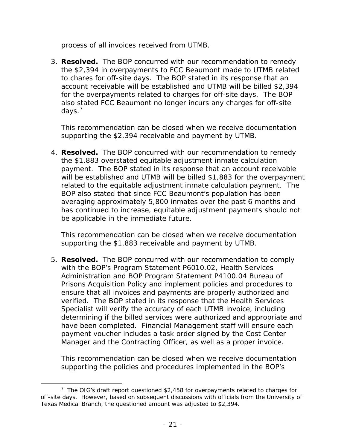process of all invoices received from UTMB.

3. **Resolved.** The BOP concurred with our recommendation to remedy the \$2,394 in overpayments to FCC Beaumont made to UTMB related to chares for off-site days. The BOP stated in its response that an account receivable will be established and UTMB will be billed \$2,394 for the overpayments related to charges for off-site days. The BOP also stated FCC Beaumont no longer incurs any charges for off-site days.<sup>[7](#page-25-0)</sup>

This recommendation can be closed when we receive documentation supporting the \$2,394 receivable and payment by UTMB.

4. **Resolved.** The BOP concurred with our recommendation to remedy the \$1,883 overstated equitable adjustment inmate calculation payment. The BOP stated in its response that an account receivable will be established and UTMB will be billed \$1,883 for the overpayment related to the equitable adjustment inmate calculation payment. The BOP also stated that since FCC Beaumont's population has been averaging approximately 5,800 inmates over the past 6 months and has continued to increase, equitable adjustment payments should not be applicable in the immediate future.

This recommendation can be closed when we receive documentation supporting the \$1,883 receivable and payment by UTMB.

5. **Resolved.** The BOP concurred with our recommendation to comply with the BOP's Program Statement P6010.02, Health Services Administration and BOP Program Statement P4100.04 Bureau of Prisons Acquisition Policy and implement policies and procedures to ensure that all invoices and payments are properly authorized and verified. The BOP stated in its response that the Health Services Specialist will verify the accuracy of each UTMB invoice, including determining if the billed services were authorized and appropriate and have been completed. Financial Management staff will ensure each payment voucher includes a task order signed by the Cost Center Manager and the Contracting Officer, as well as a proper invoice.

This recommendation can be closed when we receive documentation supporting the policies and procedures implemented in the BOP's

<span id="page-25-0"></span> <sup>7</sup>  $\frac{7}{1}$  The OIG's draft report questioned \$2,458 for overpayments related to charges for off-site days. However, based on subsequent discussions with officials from the University of Texas Medical Branch, the questioned amount was adjusted to \$2,394.